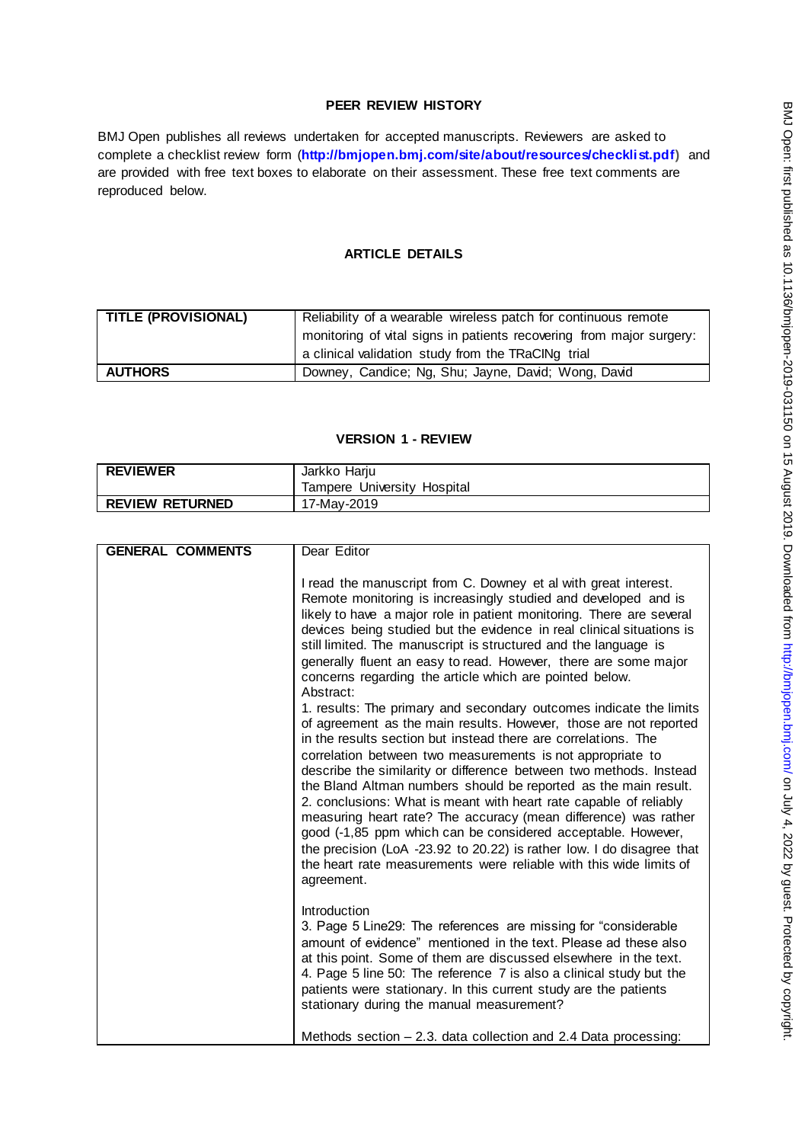# **PEER REVIEW HISTORY**

BMJ Open publishes all reviews undertaken for accepted manuscripts. Reviewers are asked to complete a checklist review form (**[http://bmjopen.bmj.com/site/about/resources/checklist.pdf\)](http://bmjopen.bmj.com/site/about/resources/checklist.pdf)** and are provided with free text boxes to elaborate on their assessment. These free text comments are reproduced below.

# **ARTICLE DETAILS**

| <b>TITLE (PROVISIONAL)</b> | Reliability of a wearable wireless patch for continuous remote       |
|----------------------------|----------------------------------------------------------------------|
|                            | monitoring of vital signs in patients recovering from major surgery: |
|                            | a clinical validation study from the TRaCINg trial                   |
| <b>AUTHORS</b>             | Downey, Candice; Ng, Shu; Jayne, David; Wong, David                  |

#### **VERSION 1 - REVIEW**

| <b>REVIEWER</b>        | Jarkko Harju                |
|------------------------|-----------------------------|
|                        | Tampere University Hospital |
| <b>REVIEW RETURNED</b> | 17-Mav-2019                 |

| <b>GENERAL COMMENTS</b> | Dear Editor                                                                                                                                                                                                                                                                                                                                                                                                                                                                                                                                                                                                                                                                                                                                                                           |
|-------------------------|---------------------------------------------------------------------------------------------------------------------------------------------------------------------------------------------------------------------------------------------------------------------------------------------------------------------------------------------------------------------------------------------------------------------------------------------------------------------------------------------------------------------------------------------------------------------------------------------------------------------------------------------------------------------------------------------------------------------------------------------------------------------------------------|
|                         |                                                                                                                                                                                                                                                                                                                                                                                                                                                                                                                                                                                                                                                                                                                                                                                       |
|                         | I read the manuscript from C. Downey et al with great interest.<br>Remote monitoring is increasingly studied and developed and is<br>likely to have a major role in patient monitoring. There are several<br>devices being studied but the evidence in real clinical situations is<br>still limited. The manuscript is structured and the language is<br>generally fluent an easy to read. However, there are some major<br>concerns regarding the article which are pointed below.<br>Abstract:                                                                                                                                                                                                                                                                                      |
|                         | 1. results: The primary and secondary outcomes indicate the limits<br>of agreement as the main results. However, those are not reported<br>in the results section but instead there are correlations. The<br>correlation between two measurements is not appropriate to<br>describe the similarity or difference between two methods. Instead<br>the Bland Altman numbers should be reported as the main result.<br>2. conclusions: What is meant with heart rate capable of reliably<br>measuring heart rate? The accuracy (mean difference) was rather<br>good (-1,85 ppm which can be considered acceptable. However,<br>the precision (LoA -23.92 to 20.22) is rather low. I do disagree that<br>the heart rate measurements were reliable with this wide limits of<br>agreement. |
|                         | Introduction<br>3. Page 5 Line29: The references are missing for "considerable"<br>amount of evidence" mentioned in the text. Please ad these also<br>at this point. Some of them are discussed elsewhere in the text.<br>4. Page 5 line 50: The reference 7 is also a clinical study but the<br>patients were stationary. In this current study are the patients<br>stationary during the manual measurement?<br>Methods section - 2.3. data collection and 2.4 Data processing:                                                                                                                                                                                                                                                                                                     |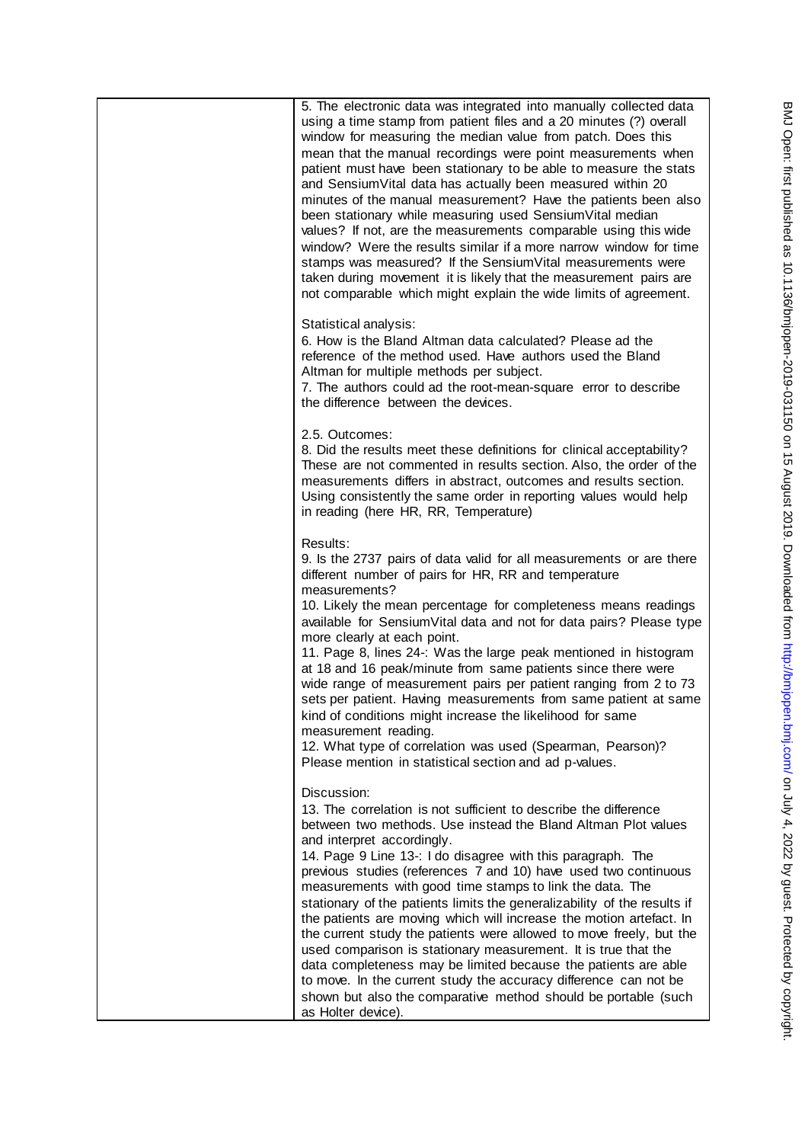5. The electronic data was integrated into manually collected data using a time stamp from patient files and a 20 minutes (?) overall window for measuring the median value from patch. Does this mean that the manual recordings were point measurements when patient must have been stationary to be able to measure the stats and SensiumVital data has actually been measured within 20 minutes of the manual measurement? Have the patients been also been stationary while measuring used SensiumVital median values? If not, are the measurements comparable using this wide window? Were the results similar if a more narrow window for time stamps was measured? If the SensiumVital measurements were taken during movement it is likely that the measurement pairs are not comparable which might explain the wide limits of agreement. Statistical analysis: 6. How is the Bland Altman data calculated? Please ad the reference of the method used. Have authors used the Bland Altman for multiple methods per subject. 7. The authors could ad the root-mean-square error to describe the difference between the devices. 2.5. Outcomes: 8. Did the results meet these definitions for clinical acceptability? These are not commented in results section. Also, the order of the measurements differs in abstract, outcomes and results section. Using consistently the same order in reporting values would help in reading (here HR, RR, Temperature) Results: 9. Is the 2737 pairs of data valid for all measurements or are there different number of pairs for HR, RR and temperature measurements? 10. Likely the mean percentage for completeness means readings available for SensiumVital data and not for data pairs? Please type more clearly at each point. 11. Page 8, lines 24-: Was the large peak mentioned in histogram at 18 and 16 peak/minute from same patients since there were wide range of measurement pairs per patient ranging from 2 to 73 sets per patient. Having measurements from same patient at same kind of conditions might increase the likelihood for same measurement reading. 12. What type of correlation was used (Spearman, Pearson)? Please mention in statistical section and ad p-values. Discussion: 13. The correlation is not sufficient to describe the difference between two methods. Use instead the Bland Altman Plot values and interpret accordingly. 14. Page 9 Line 13-: I do disagree with this paragraph. The previous studies (references 7 and 10) have used two continuous measurements with good time stamps to link the data. The stationary of the patients limits the generalizability of the results if the patients are moving which will increase the motion artefact. In the current study the patients were allowed to move freely, but the used comparison is stationary measurement. It is true that the data completeness may be limited because the patients are able to move. In the current study the accuracy difference can not be shown but also the comparative method should be portable (such as Holter device).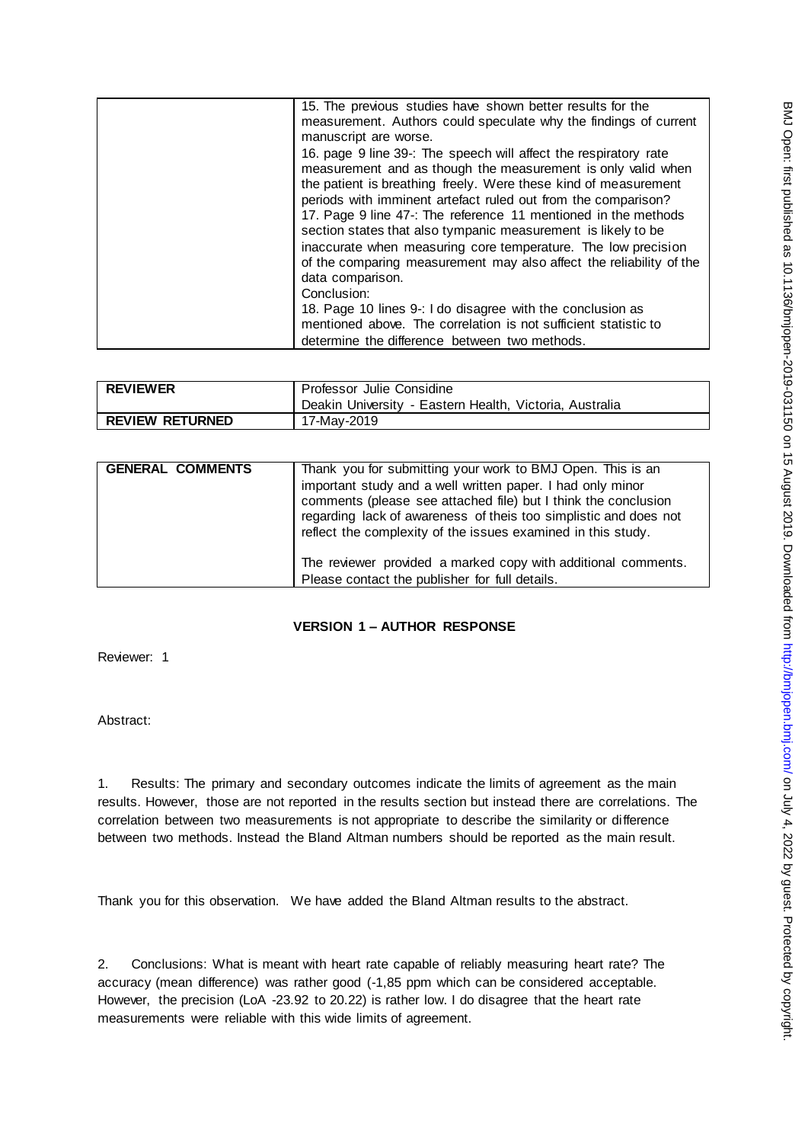| 15. The previous studies have shown better results for the          |
|---------------------------------------------------------------------|
| measurement. Authors could speculate why the findings of current    |
| manuscript are worse.                                               |
| 16. page 9 line 39-: The speech will affect the respiratory rate    |
| measurement and as though the measurement is only valid when        |
| the patient is breathing freely. Were these kind of measurement     |
| periods with imminent artefact ruled out from the comparison?       |
| 17. Page 9 line 47 -: The reference 11 mentioned in the methods     |
| section states that also tympanic measurement is likely to be       |
| inaccurate when measuring core temperature. The low precision       |
| of the comparing measurement may also affect the reliability of the |
| data comparison.                                                    |
| Conclusion:                                                         |
| 18. Page 10 lines 9-: I do disagree with the conclusion as          |
| mentioned above. The correlation is not sufficient statistic to     |
| determine the difference between two methods.                       |

| <b>REVIEWER</b>        | Professor Julie Considine                               |
|------------------------|---------------------------------------------------------|
|                        | Deakin University - Eastern Health, Victoria, Australia |
| <b>REVIEW RETURNED</b> | 17-Mav-2019                                             |

| <b>GENERAL COMMENTS</b> | Thank you for submitting your work to BMJ Open. This is an<br>important study and a well written paper. I had only minor<br>comments (please see attached file) but I think the conclusion<br>regarding lack of awareness of theis too simplistic and does not<br>reflect the complexity of the issues examined in this study. |
|-------------------------|--------------------------------------------------------------------------------------------------------------------------------------------------------------------------------------------------------------------------------------------------------------------------------------------------------------------------------|
|                         | The reviewer provided a marked copy with additional comments.<br>Please contact the publisher for full details.                                                                                                                                                                                                                |

## **VERSION 1 – AUTHOR RESPONSE**

Reviewer: 1

Abstract:

1. Results: The primary and secondary outcomes indicate the limits of agreement as the main results. However, those are not reported in the results section but instead there are correlations. The correlation between two measurements is not appropriate to describe the similarity or difference between two methods. Instead the Bland Altman numbers should be reported as the main result.

Thank you for this observation. We have added the Bland Altman results to the abstract.

2. Conclusions: What is meant with heart rate capable of reliably measuring heart rate? The accuracy (mean difference) was rather good (-1,85 ppm which can be considered acceptable. However, the precision (LoA -23.92 to 20.22) is rather low. I do disagree that the heart rate measurements were reliable with this wide limits of agreement.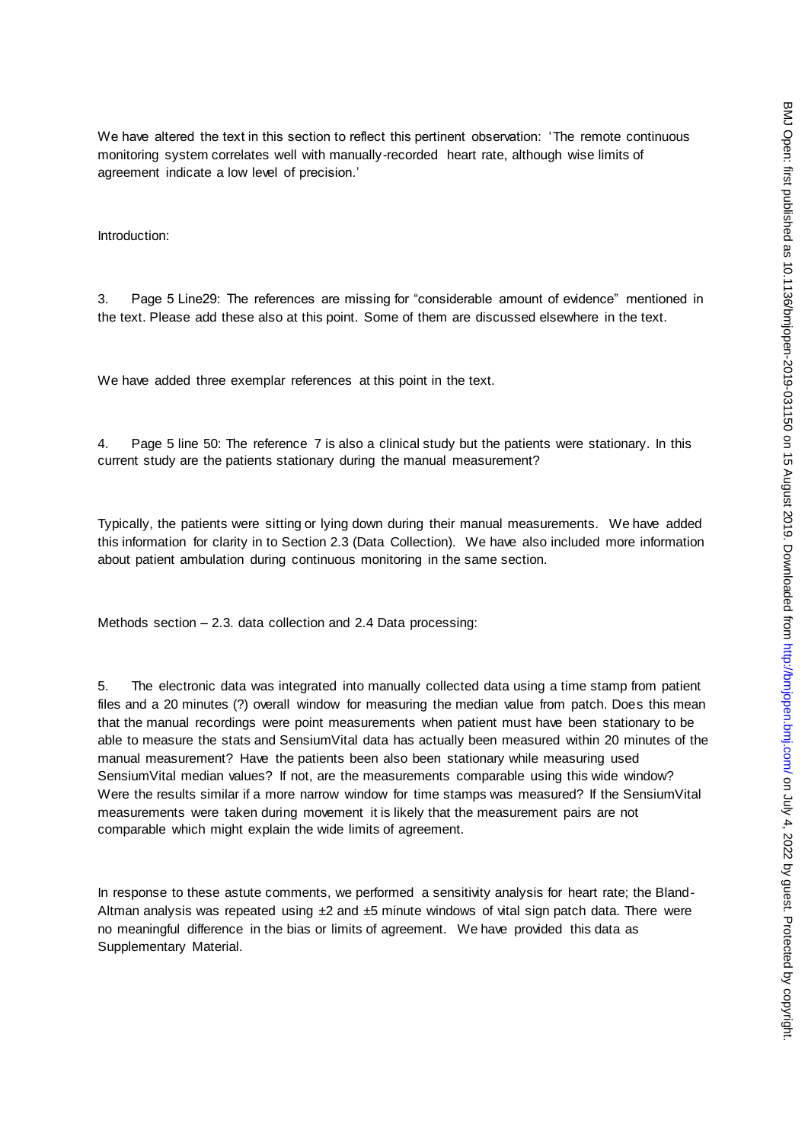We have altered the text in this section to reflect this pertinent observation: 'The remote continuous monitoring system correlates well with manually-recorded heart rate, although wise limits of agreement indicate a low level of precision.'

Introduction:

3. Page 5 Line29: The references are missing for "considerable amount of evidence" mentioned in the text. Please add these also at this point. Some of them are discussed elsewhere in the text.

We have added three exemplar references at this point in the text.

4. Page 5 line 50: The reference 7 is also a clinical study but the patients were stationary. In this current study are the patients stationary during the manual measurement?

Typically, the patients were sitting or lying down during their manual measurements. We have added this information for clarity in to Section 2.3 (Data Collection). We have also included more information about patient ambulation during continuous monitoring in the same section.

Methods section – 2.3. data collection and 2.4 Data processing:

5. The electronic data was integrated into manually collected data using a time stamp from patient files and a 20 minutes (?) overall window for measuring the median value from patch. Does this mean that the manual recordings were point measurements when patient must have been stationary to be able to measure the stats and SensiumVital data has actually been measured within 20 minutes of the manual measurement? Have the patients been also been stationary while measuring used SensiumVital median values? If not, are the measurements comparable using this wide window? Were the results similar if a more narrow window for time stamps was measured? If the SensiumVital measurements were taken during movement it is likely that the measurement pairs are not comparable which might explain the wide limits of agreement.

In response to these astute comments, we performed a sensitivity analysis for heart rate; the Bland-Altman analysis was repeated using  $\pm 2$  and  $\pm 5$  minute windows of vital sign patch data. There were no meaningful difference in the bias or limits of agreement. We have provided this data as Supplementary Material.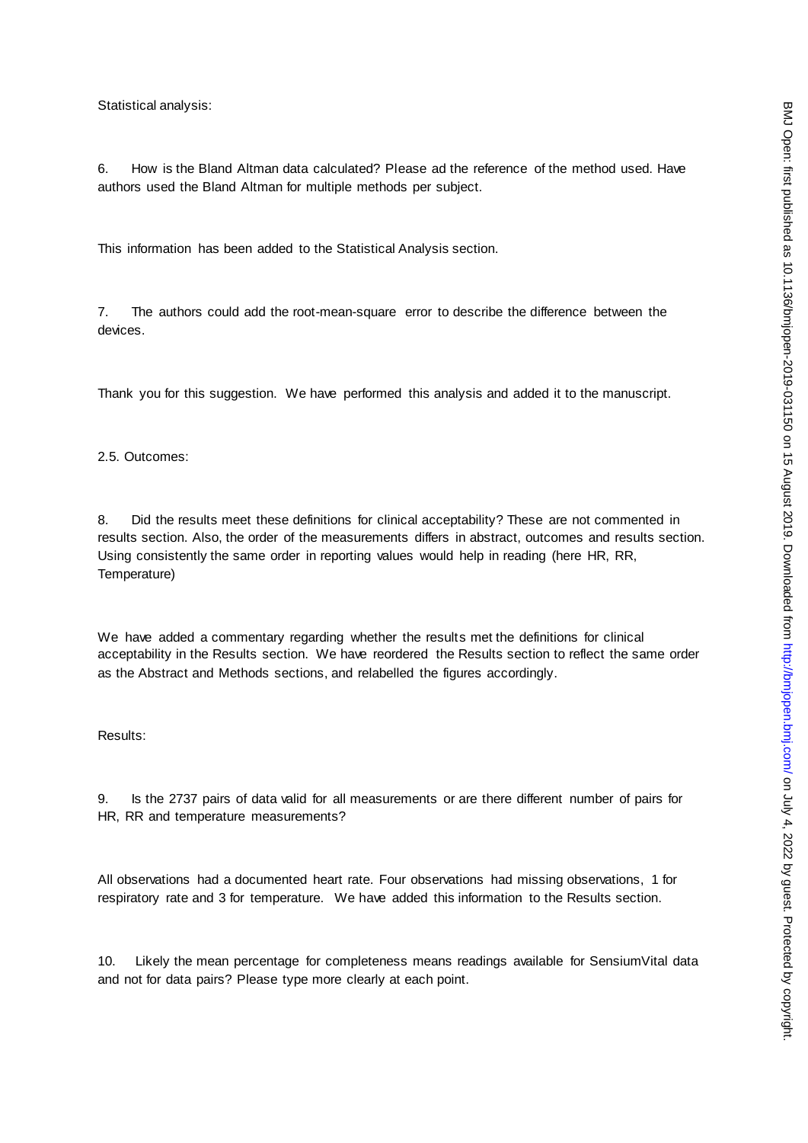Statistical analysis:

6. How is the Bland Altman data calculated? Please ad the reference of the method used. Have authors used the Bland Altman for multiple methods per subject.

This information has been added to the Statistical Analysis section.

7. The authors could add the root-mean-square error to describe the difference between the devices.

Thank you for this suggestion. We have performed this analysis and added it to the manuscript.

2.5. Outcomes:

8. Did the results meet these definitions for clinical acceptability? These are not commented in results section. Also, the order of the measurements differs in abstract, outcomes and results section. Using consistently the same order in reporting values would help in reading (here HR, RR, Temperature)

We have added a commentary regarding whether the results met the definitions for clinical acceptability in the Results section. We have reordered the Results section to reflect the same order as the Abstract and Methods sections, and relabelled the figures accordingly.

Results:

9. Is the 2737 pairs of data valid for all measurements or are there different number of pairs for HR, RR and temperature measurements?

All observations had a documented heart rate. Four observations had missing observations, 1 for respiratory rate and 3 for temperature. We have added this information to the Results section.

10. Likely the mean percentage for completeness means readings available for SensiumVital data and not for data pairs? Please type more clearly at each point.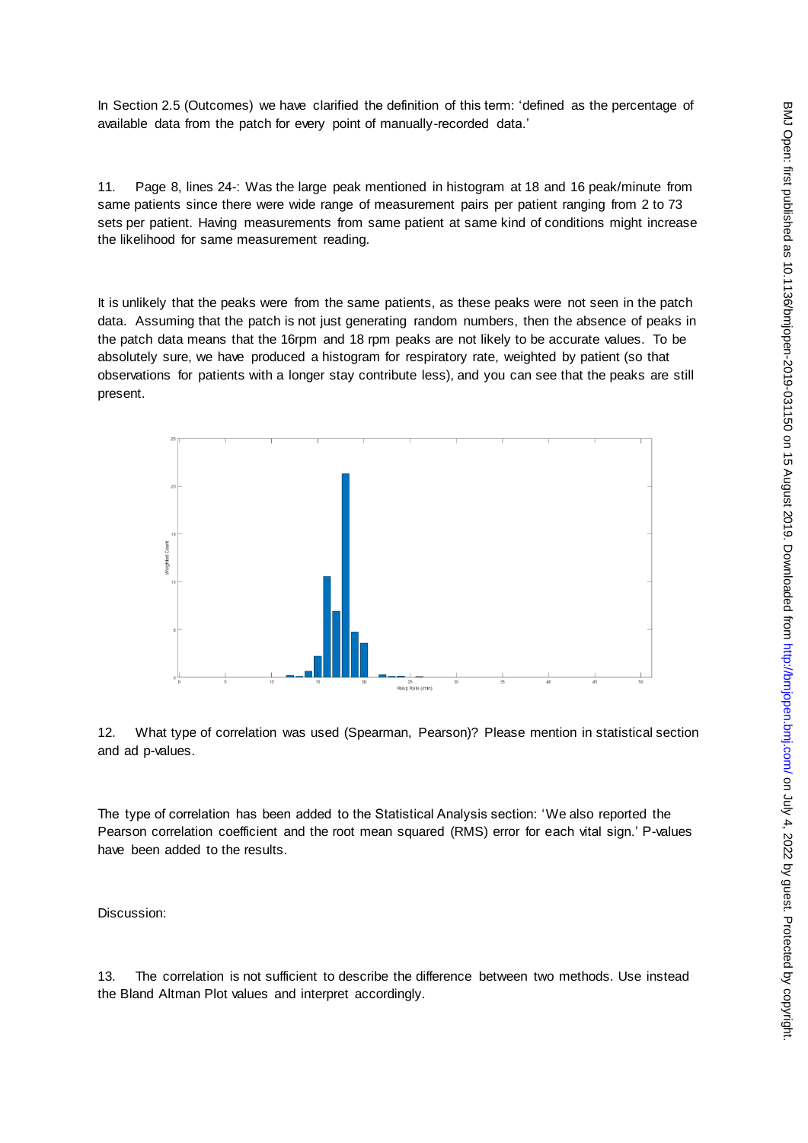In Section 2.5 (Outcomes) we have clarified the definition of this term: 'defined as the percentage of available data from the patch for every point of manually-recorded data.'

11. Page 8, lines 24-: Was the large peak mentioned in histogram at 18 and 16 peak/minute from same patients since there were wide range of measurement pairs per patient ranging from 2 to 73 sets per patient. Having measurements from same patient at same kind of conditions might increase the likelihood for same measurement reading.

It is unlikely that the peaks were from the same patients, as these peaks were not seen in the patch data. Assuming that the patch is not just generating random numbers, then the absence of peaks in the patch data means that the 16rpm and 18 rpm peaks are not likely to be accurate values. To be absolutely sure, we have produced a histogram for respiratory rate, weighted by patient (so that observations for patients with a longer stay contribute less), and you can see that the peaks are still present.



12. What type of correlation was used (Spearman, Pearson)? Please mention in statistical section and ad p-values.

The type of correlation has been added to the Statistical Analysis section: 'We also reported the Pearson correlation coefficient and the root mean squared (RMS) error for each vital sign.' P-values have been added to the results.

Discussion:

13. The correlation is not sufficient to describe the difference between two methods. Use instead the Bland Altman Plot values and interpret accordingly.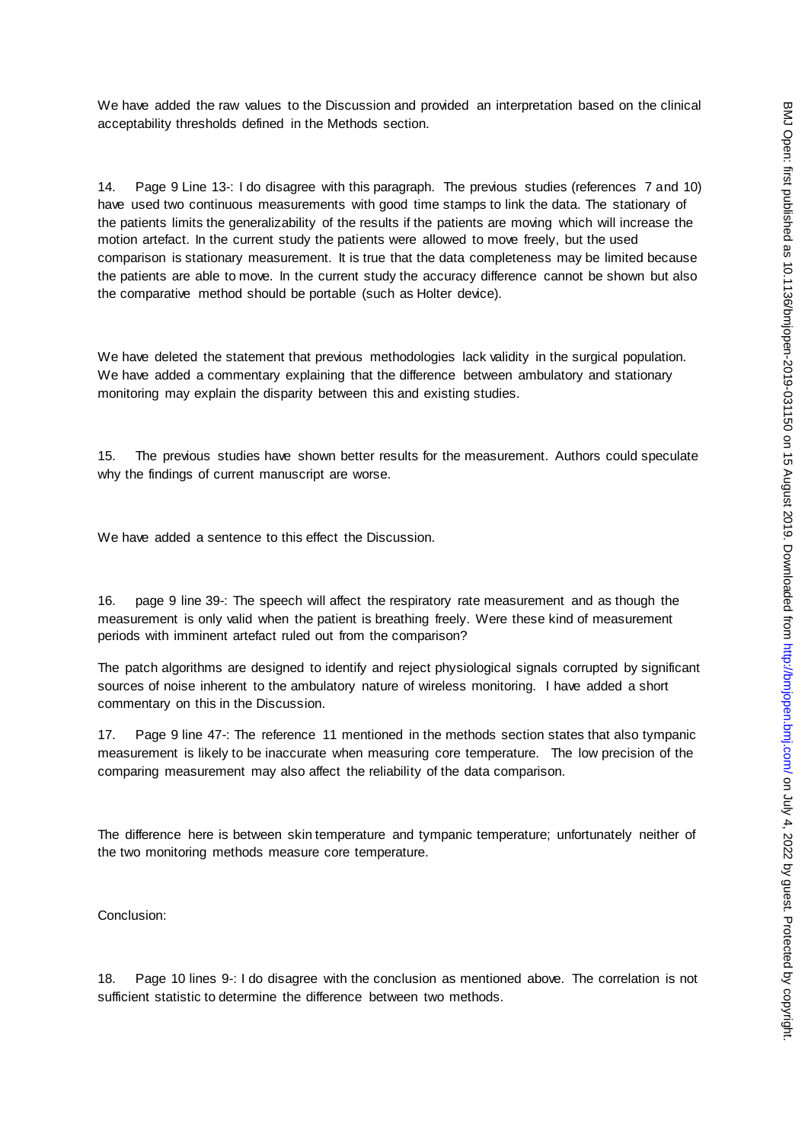We have added the raw values to the Discussion and provided an interpretation based on the clinical acceptability thresholds defined in the Methods section.

14. Page 9 Line 13-: I do disagree with this paragraph. The previous studies (references 7 and 10) have used two continuous measurements with good time stamps to link the data. The stationary of the patients limits the generalizability of the results if the patients are moving which will increase the motion artefact. In the current study the patients were allowed to move freely, but the used comparison is stationary measurement. It is true that the data completeness may be limited because the patients are able to move. In the current study the accuracy difference cannot be shown but also the comparative method should be portable (such as Holter device).

We have deleted the statement that previous methodologies lack validity in the surgical population. We have added a commentary explaining that the difference between ambulatory and stationary monitoring may explain the disparity between this and existing studies.

15. The previous studies have shown better results for the measurement. Authors could speculate why the findings of current manuscript are worse.

We have added a sentence to this effect the Discussion.

16. page 9 line 39-: The speech will affect the respiratory rate measurement and as though the measurement is only valid when the patient is breathing freely. Were these kind of measurement periods with imminent artefact ruled out from the comparison?

The patch algorithms are designed to identify and reject physiological signals corrupted by significant sources of noise inherent to the ambulatory nature of wireless monitoring. I have added a short commentary on this in the Discussion.

17. Page 9 line 47-: The reference 11 mentioned in the methods section states that also tympanic measurement is likely to be inaccurate when measuring core temperature. The low precision of the comparing measurement may also affect the reliability of the data comparison.

The difference here is between skin temperature and tympanic temperature; unfortunately neither of the two monitoring methods measure core temperature.

Conclusion:

18. Page 10 lines 9-: I do disagree with the conclusion as mentioned above. The correlation is not sufficient statistic to determine the difference between two methods.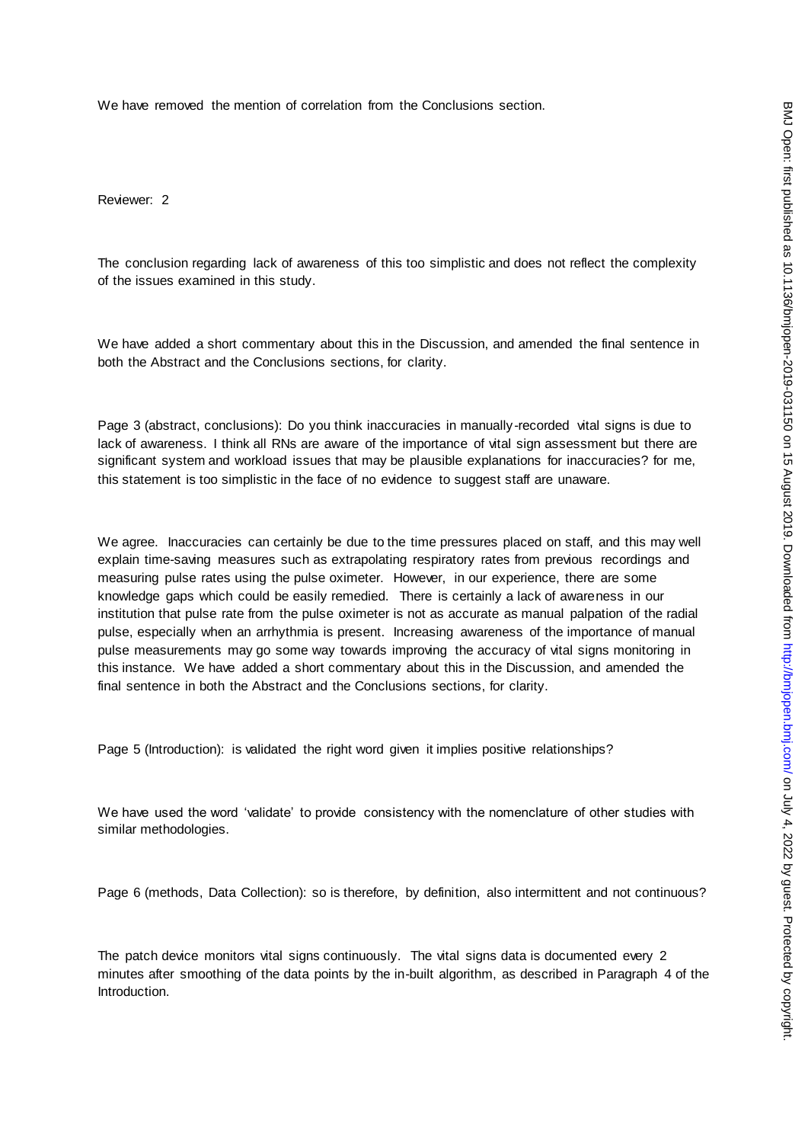We have removed the mention of correlation from the Conclusions section.

Reviewer: 2

The conclusion regarding lack of awareness of this too simplistic and does not reflect the complexity of the issues examined in this study.

We have added a short commentary about this in the Discussion, and amended the final sentence in both the Abstract and the Conclusions sections, for clarity.

Page 3 (abstract, conclusions): Do you think inaccuracies in manually-recorded vital signs is due to lack of awareness. I think all RNs are aware of the importance of vital sign assessment but there are significant system and workload issues that may be plausible explanations for inaccuracies? for me, this statement is too simplistic in the face of no evidence to suggest staff are unaware.

We agree. Inaccuracies can certainly be due to the time pressures placed on staff, and this may well explain time-saving measures such as extrapolating respiratory rates from previous recordings and measuring pulse rates using the pulse oximeter. However, in our experience, there are some knowledge gaps which could be easily remedied. There is certainly a lack of awareness in our institution that pulse rate from the pulse oximeter is not as accurate as manual palpation of the radial pulse, especially when an arrhythmia is present. Increasing awareness of the importance of manual pulse measurements may go some way towards improving the accuracy of vital signs monitoring in this instance. We have added a short commentary about this in the Discussion, and amended the final sentence in both the Abstract and the Conclusions sections, for clarity.

Page 5 (Introduction): is validated the right word given it implies positive relationships?

We have used the word 'validate' to provide consistency with the nomenclature of other studies with similar methodologies.

Page 6 (methods, Data Collection): so is therefore, by definition, also intermittent and not continuous?

The patch device monitors vital signs continuously. The vital signs data is documented every 2 minutes after smoothing of the data points by the in-built algorithm, as described in Paragraph 4 of the Introduction.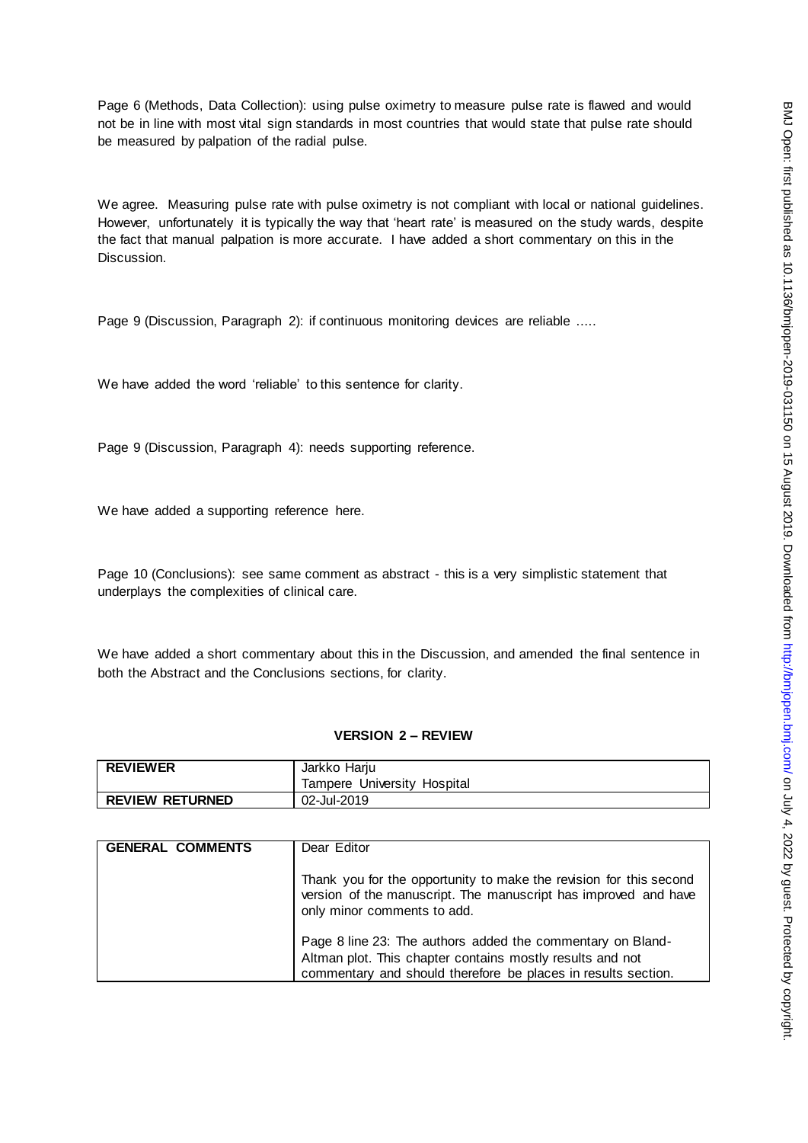Page 6 (Methods, Data Collection): using pulse oximetry to measure pulse rate is flawed and would not be in line with most vital sign standards in most countries that would state that pulse rate should be measured by palpation of the radial pulse.

We agree. Measuring pulse rate with pulse oximetry is not compliant with local or national guidelines. However, unfortunately it is typically the way that 'heart rate' is measured on the study wards, despite the fact that manual palpation is more accurate. I have added a short commentary on this in the Discussion.

Page 9 (Discussion, Paragraph 2): if continuous monitoring devices are reliable .....

We have added the word 'reliable' to this sentence for clarity.

Page 9 (Discussion, Paragraph 4): needs supporting reference.

We have added a supporting reference here.

Page 10 (Conclusions): see same comment as abstract - this is a very simplistic statement that underplays the complexities of clinical care.

We have added a short commentary about this in the Discussion, and amended the final sentence in both the Abstract and the Conclusions sections, for clarity.

#### **VERSION 2 – REVIEW**

| <b>REVIEWER</b>        | Jarkko Harju                |
|------------------------|-----------------------------|
|                        | Tampere University Hospital |
| <b>REVIEW RETURNED</b> | 02-Jul-2019                 |

| <b>GENERAL COMMENTS</b> | Dear Editor                                                                                                                                                                              |
|-------------------------|------------------------------------------------------------------------------------------------------------------------------------------------------------------------------------------|
|                         | Thank you for the opportunity to make the revision for this second<br>version of the manuscript. The manuscript has improved and have<br>only minor comments to add.                     |
|                         | Page 8 line 23: The authors added the commentary on Bland-<br>Altman plot. This chapter contains mostly results and not<br>commentary and should therefore be places in results section. |